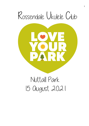

# Nuttall Park 15 August 2021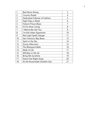| 1  | <b>Bad Moon Rising</b>         | 3  |
|----|--------------------------------|----|
| 2  | <b>Country Roads</b>           | 4  |
| 3  | Dedicated Follower of Fashion  | 5  |
| 4  | Eight Days a Week              | 6  |
| 5  | <b>Folsom Prison Blues</b>     | 7  |
| 6  | Hi Ho Silver Lining            | 8  |
| 7  | I Wanna Be Like You            | 9  |
| 8  | I'm the Urban Spaceman         | 10 |
| 9  | Red Light Spells Danger        | 11 |
| 10 | San Fransisco Bay Blues        | 13 |
| 11 | Spirit in the Sky              | 14 |
| 12 | Sunny Afternoon                | 15 |
| 13 | The Blackpool Belle            | 16 |
| 14 | Walk of Life                   | 17 |
| 15 | Whiskey in the Jar             | 18 |
| 16 | <b>Bring Me Sunshine</b>       | 19 |
| 17 | Dance the Night Away           | 20 |
| 18 | At the Rossendale Ukulele Club | 21 |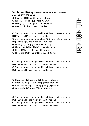## **Bad Moon Rising - Creedence Clearwater Revival (1969) Intro: [G] [D7] [C] [G][G]**

**[G]** I see the **[D7]** bad **[C]** moon a **[G]** rising

**[G]** I see **[D7]** trouble **[C]** onthe **[G]** way

**[G]** I see **[D7]** earth**[C]**quakes and **[G]** lightnin'

**[G]** I see **[D7]**bad **[C]** times to **[G]** day

**[C]** Don't go around tonight well it's **[G]** bound to take your life **[D7]** There's a **[C]** bad moon on the **[G]** rise

**[C]** Don't go around tonight well it's **[G]** bound to take your life

**[D7]** There's a **[C]** bad moon on the **[G]** rise

**[G]** I hear **[D7]** hurri**[C]**canes a **[G]** blowing

**[G]** I know the **[D7]** end is **[C]** coming **[G]** soon

**[G]** I fear **[D7]** rivers **[C]** over **[G]**flowing

**[G]** I hear the **[D7]** voice of **[C]** rage and **[G]** ruin

**[C]** Don't go around tonight well it's **[G]** bound to take your life **[D7]** There's a **[C]** bad moon on the **[G]** rise **[G] [C]** Don't go around tonight well it's **[G]** bound to take your life **[D7]** There's a **[C]** bad moon on the **[G]** rise

**[G]** Hope you **[D7]** got your **[C]** things to**[G]**gether

**[G]** Hope you are **[D7]** quite pre**[C]**pared to **[G]**die

**[G]** Looks like we're **[D7]** in for**[C]** nasty **[G]** weather

**[G]** One eye is **[D7]** taken **[C]** for an **[G]** eye

**[C]** Don't go around tonight well it's **[G]** bound to take your life **[D7]** There's a **[C]** bad moon on the **[G]** rise **[G] [C]** Don't go around tonight well it's **[G]** bound to take your life **[D7]** There's a **[C]** bad moon on the **[G]** rise **[G↓↓]**





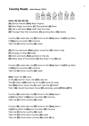## **Country Roads – John Denver (1971)**



## **Intro: [G] [G] [G] [G]**

**[G]** Almost heaven **[Em]** West Virginia

**[D]** Blue Ridge mountains **[C]** Shenandoah **[G]** River

**[G]** Life is old there **[Em]** older than the trees

**[D]** Younger than the mountains **[C]** growing like a **[G]** breeze

Country **[G]** roads take me **[D]** home to the **[Em]** place I be**[C]**long West Vir**[G]**ginia mountain **[D]** momma Take me **[C]** home country **[G]** roads

**[G]** All my memories **[Em]** gather round her **[D]** miner's lady

**[C]** Stranger to blue **[G]** water

**[G]** Dark and dusty **[Em]** painted on the sky

**[D]** Misty taste of moonshine **[C]** tear drop in my **[G]** eye

Country **[G]** roads take me **[D]** home to the **[Em]** place I be**[C]**long West Vir**[G]**ginia mountain **[D]** momma Take me **[C]** home country **[G]** roads

**[Em]** I hear her **[D]** voice In the **[G]** mornin' hours she **[G7]** calls me The **[C]** radio re**[G]**minds me of my **[D]** home far away And **[Em]** drivin' down the **[F]** road I get the **[C]** feelin' That I **[G]** should have been home **[D]** yesterday yester**[D7]**day**[D7↓]**

Country **[G]** roads take me **[D]** home to the **[Em]** place I be**[C]**long West Vir**[G]**ginia mountain **[D]** momma Take me **[C]** home country **[G]** roads

Country **[G]** roads take me **[D]** home to the **[Em]** place I be**[C]**long West Vir**[G]**ginia mountain **[D]** momma Take me **[C]** home country **[G]** roads Take me **[C]** home down country **[G]** roads Take me **[D]** home down country **[G]** roads **[G↓↓]**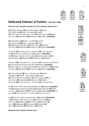

Α7



5

# **Dedicated Follower of Fashion – the Kinks (1966)**

**Intro: [C↓] [C↓] [Csus4↓] [Csus4↓] [C↓] [C↓] [Csus4↓] [Csus4↓] [C↓]** 

**[**NC**]** They seek him **[G]** here they seek him **[C]** there His clothes are **[G]** loud… but never **[C]** square **[F]** It will make or break him so he's **[C]** got to buy the **[A7]** best Cos he's a **[D]** dedicated **[G7]** follower of **[C]** fashion **[Csus4][C]**

**[C]** And when he **[G]** does… his little **[C]** rounds Round the bou**[G]**tiques… of London **[C]** town **[F]** Eagerly pursuing all the **[C]** latest fancy **[A7]** trends Cos he's a **[D]** dedicated **[G7]** follower of **[C]** fashion **[Csus4][C]**

Oh yes he **[G]** is (oh yes he is)… oh yes he **[C]** is (oh yes he is) He **[F]** thinks he is a flower to be **[C]** looked at **[Csus4][C]** And **[F]** when he pulls his frilly nylon **[C]** panties right up **[A7]**  tight He feels a **[D]** dedicated **[G7]** follower of **[C]** fashion

Oh yes he **[G]** is (oh yes he is)… oh yes he **[C]** is (oh yes he is) There's **[F]** one thing that he loves and that is **[C]** flattery **[Csus4][C] [F]** One week he's in polka dots the **[C]** next week he's in **[A7]** stripes Cos he's a **[D]** dedicated **[G7]** follower of **[C]** fashion **[Csus4][C]**

**[C]** They seek him **[G]** here… they seek him **[C]** there In Regent's **[G]** Street… and Leicester **[C]** Square **[F]** Everywhere the Carnabetian **[C]** army marches **[A7]** on Each one a **[D]** dedicated **[G7]** follower of **[C]** fashion Oh yes he **[G]** is (oh yes he is)… oh yes he **[C]** is (oh yes he is)

His **[F]** world is built round discotheques and **[C]** parties **[Csus4][C]**  This **[F]** pleasure seeking individual **[C]** always looks his **[A7]** best Cos he's a **[D]** dedicated **[G7]** follower of **[C]** fashion **[Csus4][C]** Oh yes he **[G]** is (oh yes he is)… oh yes he **[C]** is (oh yes he is)

He **[F]** flits from shop to shop just like a **[C]** butterfly **[Csus4][C]** In **[F]** matters of the cloth he is as **[C]** fickle as can **[A7]** be Cos he's a **[D]** dedicated **[G7]** follower of **[C]** fashion **[A]**  He's a **[D]** dedicated **[G7]** follower of **[C]** fashion **[A]** He's a **[D]** dedicated **[G]** follower of **[C]** fashion

**Outro [C↓] [C↓] [Csus4↓] [Csus4↓] [C↓]**







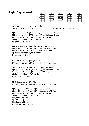# **Eight Days a Week**







*Longer first strum of each chord in intro* **Intro: [C↓↓↓↓!] [D7↓↓↓↓] [C↓↓↓↓!] [C↓↓↓↓]** (second and fourth strokes can beup)

F

**[C]** Ooh I need your **[D7]** love babe **[F]** I guess you know it's **[C]** true **[C]** Hope you need my **[D7]** love babe **[F]** just like I need **[C]** you **[Am]** Hold me **[F]** love me **[Am]** hold me **[D7]** love me **[C]** Ain't got nothing but **[D7]** love babe **[F]** eight days a **[C]** week

**[C]** Love you every **[D7]** day girl **[F]** always on my **[C]** mind **[C]** One thing I can **[D7]** say girl **[F]** I love you all the **[C]** time **[Am]** Hold me **[F]** love me **[Am]** hold me **[D7]** love me **[C]** Ain't got nothing but **[D7]** love babe

**[F]** eight days a **[C]** week

**[G]** Eight days a week I **[Am↓]** loveyou **[D7]** Eight days a week is **[F]** not enough to **[G7]** show I care

**[C]** Ooh I need your **[D7]** love babe **[F]** I guess you know it's **[C]** true **[C]** Hope you need my **[D7]** love babe **[F]** just like I need **[C]** you **[Am]** Hold me **[F]** love me **[Am]** hold me **[D7]** love me **[C]** Ain't got nothing but **[D7]** love babe **[F]** eight days a **[C]** week

**[G]** Eight days a week I **[Am↓]** loveyou **[D7]** Eight days a week is **[F]** not enough to **[G7]** show I care

**[C]** Love you every **[D7]** day girl **[F]** always on my **[C]** mind **[C]** One thing I can **[D7]** say girl **[F]** I love you all the **[C]** time **[Am]** Hold me **[F]** love me **[Am]** hold me **[D7]** love me **[C]** Ain't got nothing but **[D7]** love babe **[F]** eight days a **[C]** we-ek **[F]** eight days a **[C]** we-ek **[F]** eight days a **[C]** we-ek **[C↓↓↓↓] [D7↓↓↓↓] [F↓↓↓↓] [C↓]**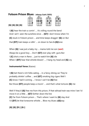# **Folsom Prison Blues - Johnny Cash (1955)**

| C | D7 | G | G 7 |
|---|----|---|-----|
|   |    |   |     |
|   |    |   |     |
|   |    |   |     |
|   |    |   |     |

# **[G] [G] [G] [G]**

I **[G]** hear the train a comin' … It's rolling round the bend And I ain't seen the sunshine since … **[G7]** I don't know when I'm **[C]** stuck in Folsom prison … and time keeps draggin' **[G]** on But that **[D7]** train keeps a rollin' … on down to SanAn**[G]**tone

When **[G]** I was just a baby my … mama told me son (**son!**) Always be a good boy … Don't **[G7]** ever play with guns But I **[C]** shot a man in Reno … just to watch him **[G]** die When I **[D7]** hear that whistle blowin' … I hang my head and **[G]** cry

# **Instrumental Verse** (Kazoo)

I **[G]** bet there's rich folks eating … in a fancy dining car They're probably drinkin' coffee … and **[G7]** smoking big cigars Well I **[C]** know I had it coming … I know I can't be **[G]**free But those **[D7]** people keep a-movin' … and that's what tortures **[G]** me

Well if they'd **[G]** free me from this prison, If that railroad train was mine I bet I'd move it on a little … **[G7]** farther down the line **[C]** Far from Folsom prison … That's where I want to **[G]** stay And I'd **[D7]** let that lonesome whistle … Blow my blues a**[G]**way

**[G] [G] [D↓] [G↓]**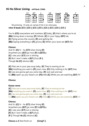# **Hi Ho Silver Lining - Jeff Beck (1968)**



# Strumming: D only on verses D & U on choruses I**ntro 8 beats [C5↓] [C5↓] [C5↓] [C5↓] [C5↓] [C5↓] [C5↓] [C5↓]**

You're **[C5]** everywhere and nowhere, **[C]** baby, **[F]** that's where you're at, **[Bb]** Going down a bumpy **[F]** hillside, **[C]** In your hippy **[G7]** hat, **[C]** Flying across the country **[F]** and getting fat, **[Bb]** Saying everything is **[F]** groovy **[C]** When your tyres are **[G7]** flat

# **Chorus:**

And it's **[C]** hi - ho **[C7]** silver lining **[F]** Anywhere you **[G7]** go now **[F]** ba**[G7]**by **[C]** I see your **[C7]** sun is shining **[F]** But I won't make a **[G7↓]** fuss **[F↓]** Though **its [C]** obvious **[C]**

**[C]** Flies are in your pea soup baby, **[F]** They're waving at me **[Bb]** Anything you want is **[F]** yours now, **[C]** Only nothing is for **[G7]** free. **[C]** Lies are gonna get you some day, **[F]** Just wait and see So **[Bb]** open up your beach um-**[F]**brella **[C]** While you are watching **[G7]** TV

# **Chorus:**

## **Kazoo verse**

**[C]** Flies are in your pea soup baby, **[F]** They're waving at me **[Bb]** Anything you want is **[F]** yours now, **[C]** Only nothing is for **[G7]** free. **[C]** Lies are gonna get you some day, **[F]** Just wait and see So **[Bb]** open up your beach um-**[F]**brella **[C]** While you are watching **[G7]** TV

# **Chorus:**

And it's **[C]** hi - ho **[C7]** silver lining **[F]** Anywhere you **[G7]** go now **[F]** ba**[G7]**by **[C]** I see your **[C7]** sun is shining **[F]** But I won't make a **[G7↓]** fuss **[F↓]** Though **its [C]** obvious **[C]**

**Chorus x 2** then finish on **[Cmaj7↓]**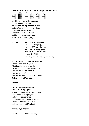## **I Wanna Be Like You - The Jungle Book (1967)**



**[Am]** I'm the king of the swingers Oh, the jungle V.I. **[E7]** P, I've reached the top and had to stop And that's what botherin' **[Am]** me. I wanna be a man, mancub, And stroll right into **[E7]** town And be just like the other men I'm tired of monkeyin' **[Am]** around!

**Chorus [G7]** Oh, **[C]** oo-bee-doo I wanna be like **[A7]** you I wanna **[D7]** walk like you, **[G7]** Talk like you **[C]** too. **[G7]** You'll see it's **[C]** true An ape like **[A7]** me Can **[D7]** learn to be **[G7]** human **[C]** too.

Now **[Am]** don't try to kid me, mancub I made a deal with **[E7]** you What I desire is man's red fire To make my dream come **[Am]** true. Give me the secret, mancub, Clue me what to **[E7]** do Give me the power of man's red flower So I can be like **[Am] you.**

#### **Chorus**

**I [Am]** like your mannerisms, we'll be a set of **[E7]** twins No one will know where man-cub ends and orangutan **[Am]** begins And when I eat bananas, I won't peel them with my **[E7]** feet 'Cause I'll become a man-cub and learn some etti**[Am]**keet.

#### **Kazoo plays Chorus**

**Chorus** (Finish on the **[C**] )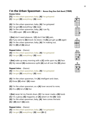# **I'm the Urban Spaceman - Bonzo Dog Doo Dah Band (1968) Kazoo Intro:**

**[G]** I'm the urban spaceman, baby, **[A]** I've gotspeed **[C]** I've got **[D]** everything I **[G]** need.

**[G]** I'm the urban spaceman, baby, **[A]** I've gotspeed **[C]** I've got **[D]** everything I **[G]** need. **[G]** I'm the urban spaceman, baby, **[A]** I can fly, I'm a **[C]** super- **[D]** sonic **[G]** guy

I **[Em]** don't need pleasure, I **[C]** don't feel **[G]** pain, **[C]** if you were to **[G]** knock me down, I'd **[A]** just get up **[D]** again **[G]** I'm the urban spaceman, baby, **[A]** I'm making out, **[C]** I'm **[D]** all **[G]** about

## **Repeat intro:** - (Kazoo)

**[G]** I'm the urban spaceman, baby, **[A]** I've gotspeed **[C]** I've got **[D]** everything I **[G]** need.

I **[Em]** wake up every morning with a **[C]** smile upon my **[G]** face **[C]** My natural **[G]** exuberance spills **[A]** out all over the **[D]** place

## **Repeat intro:** - (Kazoo)

**[G]** I'm the urban spaceman, baby, **[A]** I've gotspeed **[C]** I've got **[D]** everything I **[G]** need.

**[G]** I'm the urban spaceman, I'm **[A]** intelligent and clean, **[C]** Know **[D]** what I **[G]** mean

**[G]** I'm the urban spaceman, as a **[A]** lover second to none, **[C]** it's a **[D]** lot of **[G]** fun

I **[Em]** never let my friends down, **[C]** I've never made a **[G]** boob **[C]** I'm a glossy **[G]** magazine, an **[A]** advert on the **[D]** tube **[G]** I'm the urban spaceman, baby, **[A]** here comes the twist **[C]** I **[D]** don't **[G]** exist.

## **Repeat intro:** - (Kazoo)

**[G]** I'm the urban spaceman, baby, **[A]** I've gotspeed **[C]** I've got **[D]** everything I **[G]** need.**[G↓↓]**





| ı | ٦ |  |
|---|---|--|
|   |   |  |
|   |   |  |
|   |   |  |
|   |   |  |

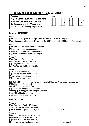# **Red Light Spells Danger - Billy Ocean (1980)**

#### **Backing**

Repeat Verse 1 over Verses 2 and 3 and sing 'ahh' over each line in Verse 4. Do the same over the Verses in the second part of the song. (Right side)



## **Intro: [Am] [F] [C] [G]**

#### **Verse 1**

**[Am]** Red Light, Spells **[F]** danger Can't **[C]** hold out, much **[G]** longer **[Am]** 'Cause red light means **[F]** warning Can't **[C]** hold out, I'm **[G]** burning *(No,no,no)*

#### **Verse 2**

**[Am]** You took my heart and turned me on

**[F]** And now the danger sign is on

**[C]** I never thought the day would come

**[G]** When I would feel alone without you

#### **Verse 3**

**[Am]** And now I'm like a child again

**[F]** Calling out his mama's name

**[C]** You got me on a ball and chain

**[G]** Doin' things that I don't want to

#### **Verse 4**

**[F]** Can't stop running to ya,

- **[G]** Feel the love coming throughya,
- **[F]** Girl with you beside me
- **[G]** Hold on, heaven guideme...

**[C]** Red light *(til the red light)* Spells **[F]** danger *(oh a danger warning)* Can't **[C]** hold out *(can't hold out)*

Much **[G]** longer *(no no baby)*

**[C]** 'Cause red light*(feel the red light)* Means **[F]** warning *(oh it's a danger warning)*

Can't **[C]** hold out *(no no now*)

I'm **[G]** burning *(woah-oh oh oh)*

## **[Am] [F] [C] [G]**

#### **Verse 1**

**[Am]** Red Light, Spells **[F]** danger, Can't **[C]** hold out, much **[G]** longer **[Am]** 'Cause red light means **[F]** warning, Can't **[C]** hold out, I'm **[G]** burning

## **Verse 2**

**[Am]** I had my fun and played around, **[F]** Without a love to tie me down, **[C]** I always used to kiss and run,

**[G]** I never wanted love to catch me. (continued)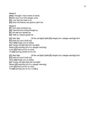#### **Verse 3**

**[Am]** I thought I had a heart of stone,

**[F]** But now I'm in the danger zone,

**[C]** I can feel the heat is on,

**[G]** Soon the flames are gonna catch me.

## **Verse 4**

**[F]** Can't stop running to ya,

**[G]** Feel the lovecoming through ya,

**[F]** Girl with you beside me,

**[G]** Hold on, heaven guide me...

**[C]** Red light *('til the red light)* Spells **[F]** danger *(oh a danger warning)*Can't **[C]** hold out *(can't hold out)* Much **[G]** longer *(no no baby)* **[C]** 'Cause red light *(feel the red light)* Means **[F]** warning *(oh it's a danger warning)* Can't **[C]** hold out *(no no now*) I'm **[G]** burning *(woah-oh oh oh)*

**[C]** Red light *('til the red light)* Spells **[F]** danger *(oh a danger warning)*Can't **[C]** hold out *(can't hold out)* Much **[G]** longer *(no no baby) [C]* 'Cause red light *(feel the red light)* Means **[F]** warning *(oh it's a danger warning)* Can't **[C]** hold out *(no no now*) I'm **[G]** burning *(no no no o o)* **[C↓]**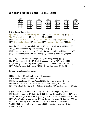# **San Francisco Bay Blues - Eric Clapton (1992)**



#### **Intro:** Kazoo/Harmonica:

I got the **[C]** blues from my baby left me **[F]** by the San Francisco **[C]** Bay **[C7]** The **[F]** ocean liner she **[F]** goin' so far a[**C]**way **[C7] [F]** Didn't mean to treat her so **[F]** bad She was the **[C]** best girl I ever had **[A7] [D7]** Said goodbye, I can **[D7]** take a cry **[G7]** I wanna lay down and **[G7]** die

I got the **[C]** blues from my baby left me **[F]** by the San Francisco **[C]** Bay **[C7]** The **[F]** ocean liner she **[F]** goin' so far a[**C]**way **[C7] [F]** Didn't mean to treat her so **[F]** bad She was the **[C]** best girl I ever had **[A7] [D7]** Said goodbye, I can **[D7]** take a cry **[G7]** I wanna lay down and **[G7]** die

Well I **[C]** ain't got a nickel and I [**F]** ain't got a lousy dime **[C] [C7]** She **[F]** don't come back **[F]** Think I'm gonna lose my **[E7]** mind **[E7]** If I **[F]** ever get back to **[F]** stay It's gonna **[C]** be another brand new **[A7]** day **[D7]** Walkin' with my baby down **[G7]** by the San Francisco **[C]** Bay **[C]** 

## **Repeat Intro:** Kazoo/Harmonica:

**[C]** Sittin' down **[F]** looking from my **[C]** back door

**[C]** Wonderin' which **[F]** way to **[C]** go

**[F]** The woman I'm so **[F]** crazy 'bout **[C]** She don't want me no **[C]** more

**[F]** Think I'll catch me a **[F]** freight train **[C]** cos I'm feeling **[A7]** blue

**[D7]** And ride all the way to the **[D7]** end of the line **[G7]** thinkin' only of **[G7]** you

**[C]** Meanwhile **[F]** in another **[C]** city **[C]** Just about to **[F]** go in**[C]**sane **[F]** Thought I heard my **[F]** baby, Lord **[E7]** The way she used to call my **[E7]** name And if I **[F]** ever get back to **[F]** stay It's gonna **[C]** be another brand new **[A7]** day **[D7]** Walkin' with my baby down **[G7]** by the San Francisco **[C]** Bay hey **[A7]** hey **[D7]** Walkin' with my baby down **[G7]** by the San Francisco **[C]** Bay**[A7]** Yeahhh **[D7]** walkin' with my baby down **[G7]** by the San Francisco **[C]** Bay **[C↓] [G7↓] [C↓]**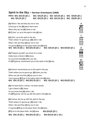# **Spirit in the Sky – Norman Greenbaum (1969)**

**Intro: 4[A] 2[A] [D↓][C↓] 4[A] 2[A] [D↓][C↓] 4[A] 2[A] [D↓][C↓] 4[A] 2[A][D↓][C↓] 4[A] 2[A] [D↓][C↓] 4[A] 2[A] [D↓][C↓] 4[A] 2[A] [D↓][C↓] 4[A] 2[A][D↓][C↓]**

**[A]** When I die and they lay me to rest, Gonna go to the **[D]** place that's best. When they lay me **[A]** down to die, **[E7]** Goin' on up to the spirit in the **[A]** sky.

**[A]** Goin' up to the spirit in the sky, That's where I'm gonna go, **[D]** when I die.

When I die and they **[A]** lay me to rest,

I'm gonna **[E7]** go to the place that's the **[A]** best. **4[A] 2[A] [D↓][C↓] 4[A] 2[A] [D↓][C↓] 4[A] 2[A] [D↓][C↓] 4[A] 2[A][D↓][C↓]**

**[A]** Prepare yourself, you know it's a must,

Gotta have a friend in **[D]** Jesus

So you know that **[A]** when you die,

It's **[E7]** gonna' recommend you to the spirit in the **[A]** sky.

**[A]** Gonna' recommend you to the spirit in the sky,

That's where you're gonna go, **[D]** when you die.

When you die and they **[A]** lay you to rest,

You're gonna **[E7]** go to the place that's the **[A]** best. **4[A] 2[A] [D↓][C↓] 4[A] 2[A] [D↓][C↓] 4[A] 2[A] [D↓][C↓] 4[A] 2[A][D↓][C↓]**

**[A]** I've never been a sinner; I've never sinned.

I got a friend in **[D]** Jesus

So you know that **[A]** when I die,

It's **[E7]** gonna' set me up with the spirit in the **[A]** sky.

**[A]** Gonna' set me up with the spirit in the sky, That's where I'm gonna go, **[D]** when I die.

When I die and they [**A]** lay me to rest,

I'm gonna **[E7]** go to the place that's the **[A]** best...

**[E7]** Go to the place that's the **[A]** best **4[A] 2[A][D↓][C↓]**

**4[A] 2[A] [D↓][C↓] 4[A] 2[A] [D↓][C↓] 4[A] 2[A] [D↓][C↓] [A↓]**



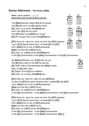# **Sunny Afternoon - The Kinks (1966)**

## **Intro:** (strum pattern ↓↓↓↑↓↑) **[Dm] [Dm] [A] [A] [Dm] [Dm] [A] [A]**

The **[Dm]** taxman's taken **[C]** all my dough And **[F]** left me in my **[C]** stately home **[A]** Lazin' on a sunny after**[Dm]**noon And I can't **[C]** sail my yacht He's **[F]** taken every**[C]**thing I've got **[A]** All I've got's this sunny after**[Dm]**noon

**[D7]** Save me, save me, save me from this **[G7]** squeeze I got a **[C7]** big fat mama tryin' to break **[F]** me **[A7]** And I **[Dm]** love to live so **[G7]** pleasantly **[Dm]** Live this life of **[G7]** luxury **[F]** Lazin' on a **[A7]** sunny after[**Dm]**noon

In the **[A]** Summertime In the **[Dm]** Summertime In the **[A]** Summertime

My **[Dm]** girlfriend's run off **[C]** with my car And **[F]** gone back to her **[C]** ma and pa **[A]** Tellin' tales of drunkenness and **[Dm]** cruelty Now I'm **[C]** sittin' here **[F]** Sippin' at my **[C]** ice-coldbeer **[A]** Lazin' on a sunny after**[Dm]**noon

**[D7]** Help me, help me, help me sail a**[G7]**way Or give me **[C7]** two good reasons why I oughta **[F]** stay **[A7]** 'Cos I **[Dm]** love to live so **[G7]** pleasantly **[Dm]** Live this life of **[G7]** luxury **[F]** Lazin' on a **[A7]** sunny after[**Dm]**noon In the **[A]** Summertime In the **[Dm]** Summertime In the **[A]** Summertime

**[D7]** Save me, save me, save me from this **[G7]** squeeze I got a **[C7]** big fat mama tryin' to break **[F]** me **[A7]** And I **[Dm]** love to live so **[G7]** pleasantly **[Dm]** Live this life of **[G7]** luxury **[F]** Lazin' on a **[A7]** sunny after[**Dm]**noon In the **[A]** Summertime In the **[Dm]** Summertime In the **[A]** Summertime In the **[Dm]** Summertime **[Dm↓]**





Dm

| F |
|---|
|   |
|   |
|   |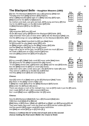# **The Blackpool Belle - Houghton Weavers (1993)**

**[C]** Oh! The Blackpool **[Am]** Belle was a **[C]** getaway **[Am]** train That **[C]** went from **[Am]** Northern **[G7]** Stations, What a **[Dm]** beautiful **[G7]** sight on a **[Dm]** Saturday **[G7]** night, **[Dm]** bound for the **[G7]** 'lumi**[C]**nations. No mothers and dads, just girls and lads, **[C7]** young and fancy **[F]** free Out for the **[G7]** laughs on the **[C]** Golden **[A7]** Mile At **[Dm]** Blackpool **[G7]** by the **[C]** Sea.

#### **Chorus:**

I **[F]** remember **[G7]** very **[C]** well All the **[F]** happy gang a**[A7]**board the Blackpool **[D7]** Belle. **[G7]** I **[C]** remember them pals of mine when I **[E7]** ride the Blackpool **[Am]** Line, And the **[D7]** songs we sang to**[G7]**gether on the Blackpool **[C]** Belle. **[G7]**

**[C]** Little Piggy **[Am]** Greenfield he **[C]** was **[Am]** there. He **[C]** thought he was **[Am]** mighty **[G7]** slick. He **[Dm]** bought a **[G7]** hat on the **[Dm]** Golden **[G7]** Mile And the **[Dm]** hat said **[G7]** "Kiss me **[C]** quick". Piggy was a lad for all the girls, but **[C7]** he drank too much **[F]** beer. He made a **[G7]** pass at a **[C]** Liverpool **[A7]** lass And she **[Dm]** pushed him **[G7]** off the **[C]** pier.

## **Chorus:**

**[C]** Ice cream**[C↓] [Am]** Sally could **[C]** never settle **[Am]** down.

She **[C]** lived for her **[Am]** Knickerbocker **[G]** Glories,

'Til she **[Dm]** clicked with a **[G7]** bloke who **[Dm]** said he was **[G7]** broke, But she **[Dm]** loved his **[G7]** ice cream **[C]** stories.

Sally took it all in with a smile and a grin. She **[C7]** fell for Sailor **[F]** Jack.

They went for a **[G7]** trip to the **[C]** Isle of **[A7]** Man

And they **[Dm]** never **[G7]** did come **[C]** back.

## **Chorus:**

Now **[C]** some of us **[Am]** went up the **[C]** Blackpool **[Am]** Tower, **[C]** others in the **[Am]** Tunnel of **[G]** Love. A **[Dm]** few made **[G7]** off for the **[Dm]** Blackpool **[G7]** Sands

**[Dm]** under the **[G7]** pier **[C]** above.

There was always a rush at the midnight hour, but we **[C7]** made it just the **[F]** same, And I made **[G7]** off with a **[C]** Liverpool **[A7]** lass,

But I could **[Dm]** never re**[G7]**member her **[C]** name.

## **Chorus:**

Now the **[C]** Blackpool **[Am]** Belle has a **[C]** thousand **[Am]** tales If **[C]** they could **[Am]** all be **[G]** told **[Dm]** Many of **[G7]** these I **[Dm]** will re**[G7]**call as **[Dm]** I am **[G7]** growing **[C]** old They were happy days and I miss the times we'd **[C7]** pull the curtains **[F]** down And the passion **[G7]** wagon would **[C]** steam backhome And **[Dm]** we would **[G7]** go to **[C]** town **[C↓]**

**Chorus x 2 without the G7 at the end of each and on the second chorus holding the final word ('Belle') for 2 bars to finish**



Dm

A7

| ×<br>ð |  |  |  |
|--------|--|--|--|
|        |  |  |  |
|        |  |  |  |
|        |  |  |  |
|        |  |  |  |

ET

| É |  |  |
|---|--|--|
|   |  |  |
|   |  |  |
|   |  |  |
|   |  |  |

| G |  | m.<br>G<br>ŕ<br>۴ |
|---|--|-------------------|
|   |  |                   |
|   |  |                   |
|   |  |                   |
|   |  |                   |

|  | T. |  |
|--|----|--|
|  |    |  |
|  |    |  |
|  |    |  |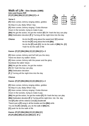## **Walk of Life - Dire Straits (1985) Intro and Kazoo Riff [F] [F] [Bb] [Bb] [C] [C] [Bb] [C] x 4**

#### **Verse 1**

**[F]** Here comes Johnny singing oldies, goldies

Be-Bop-A-Lula, Baby What I Say

**[F]** Here comes Johnny singing I Gotta Woman

Down in the tunnels, trying to make it pay

**[Bb]** He got the action, he got the motion **[F]** Oh Yeah the boy can play **[Bb]** Dedication devotion **[F**<sup>1</sup>] Turning all the night time into the day

**Chorus** He do the **[F]** song about the sweet lovin' **[C]** woman He do the **[F]** song about the knife **[Bb]** He do the **[F]** walk **[C]**, he do the walk of **[Bb]** life, **[C]** Yeah he do the walk of life

## **Kazoo: [F] [F] [Bb] [Bb} [C] [C] [Bb] [C] x 2**

**[F]** Here comes Johnny and he'll tell you the story Hand me down my walkin' shoes **[F]** Here comes Johnny with the power and the glory Backbeat the talkin' blues **[Bb]** He got the action, he got the motion **[F]** Oh Yeah the boy can play **[Bb] Dedication devotion [F↓]** Turning all the night time into the day

## **Chorus**

## **Kazoo: [F] [F] [Bb] [Bb] [C] [C] [Bb] [C] x 2**

**[F]** Here comes Johnny singing oldies, goldies Be-Bop-A-Lula, Baby What I Say **[F]** Here comes Johnny singing I Gotta Woman Down in the tunnels, trying to make it pay **[Bb]** He got the action, he got the motion **[F]** Oh Yeah the boy can play **[Bb]** Dedication devotion **[F↓]** Turning all the night time into the day And **[F]** after all the violence and **[C]** doubletalk There's just a **[F]** song in all the trouble and the **[Bb]** strife You do the **[F]** walk **[C]**, you do the walk of **[Bb]** life, **[C]** yeah he do the walk of life

## **Kazoo: [F] [F] [Bb] [Bb] [C] [C] [Bb] [C] [F] [F] [Bb] [Bb] [C] [C] [Bb] [C] [F↓]**

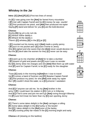# **Whiskey in the Jar**

# **Intro: [C] [Am] [F] [C]** (First two lines of verse)

As **[C]** I was going over the **[Am]** far famed Kerry mountains I **[F]** met with Captain Farrell and his **[C]** money he was countin' I **[C]** first produced me pistol, and **[Am]** then produced me rapier Saying **[F]** stand and deliver for you **[C]** are the bold deceiver

## **Chorus:**

Musha **[G]** rig um a du rum da **[C]** Whack folthe daddy o **[F]** Whack fol the daddy o There's **[C]** whiskey **[G]** in the **[C]** jar **[C]**

I **[C]** counted out his money and it **[Am]** made a pretty penny I **[F]** put it in me pocket and I **[C]** took it home to Jenny She **[C]** sighed and she swore that she **[Am]** never would deceive me But the **[F]** devil take the women for they **[C]** never can be easy

## **Chorus:**

I **[C]** went up to me chamber all **[Am]** for to take a slumber I **[F]** dreamt of gold and jewels and **[C]** sure it was no wonder But **[C]** Jenny drew me charges and she **[Am]** filled them up with water And **[F]** sent for Captain Farrell, to be **[C]** ready for the slaughter

## **Chorus:**

'Twas **[C]** early in the morning be**[Am]**fore I rose to travel Up **[F]** comes a band of footmen and **[C]** likewise Captain Farrell I **[C]** first produce my pistol, for she **[Am]** stole away my rapier But I **[F]** couldn't shoot the water, so a **[C]** prisoner I wastaken

## **Chorus:**

And **[C]** if anyone can aid me, 'tis my **[Am]** brother in the army If **[F]** I could learn his station in **[C]** Cork or in Killarney And **[C]** if he'd come and join me we'd go **[Am]** roving through Kilkenny I'm **[F]** sure he'd treat me fairer than my **[C]** own sporting Jenny

## **Chorus:**

**[C]** There's some takes delight in the **[Am]** carriages a rolling **[F]** Some takes delight in the **[C]** hurley or the bowlin' But **[C]** I takes delight in the **[Am]** juice of the barley And **[F]** courting pretty fair maids in the **[C]** morning bright and early

**Chorus x 2** (slowing on the lastline)







18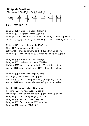# **Bring Me Sunshine**



# **Intro: [D7] [G7] [C]**

Bring me **[C]** sunshine… in your **[Dm]** smile Bring me **[G7]** laughter… all the **[C]** while In this **[C7]** world where we live… there should **[F]** be more happiness So much **[D7]** joy you can give… to each **[G7]** brand new bright tomorrow

Make me **[C]** happy… through the **[Dm]** years Never **[G7]** bring me… any **[C]** tears Let your **[C7]** arms be as warm as the **[F]** sun from up above Bring me **[D7]** fun… bring me **[G7]** sunshine… bring me **[C]** love

Bring me **[C]** sunshine… in your **[Dm]** eyes Bring me **[G7]** rainbows… from the **[C]** skies Life's too **[C7]** short to be spent having **[F]** anything but fun We can **[D7]** be so content… if we **[G7]** gather little sunbeams

Bring me **[C]** sunshine in your **[Dm]** song Lots of **[G7]** friends who strum a**[C]**long Life's too **[C7]** short to be spent having **[F]** anything but fun, We can **[D7]** be so content when we **[G7]** play our ukuleles!

Be light-**[C]** hearted… all day **[Dm]** long Keep me **[G7]** singing… happy **[C]** songs Let your **[C7]** arms be as warm as the **[F]** sun from up above Bring me **[D7]** fun… bring me **[G7]** sunshine Bring me **[C]** love… **[E7]** sweet **[A7]** love Bring me **[D7]** fun… bring me **[G7]** sunshine Bring me **[C]** looooove **[G7↓]- [C↓]**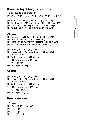# **Dance the Night Away - Mavericks (1998)**

# **Intro: Building up gradually**

**[D] [A7] [D] [A7] [D] [A7] [D] [A7] [D] [A7] [D] [A7]**

**[D]** Here comes my **[A7]** happinessa**[D]**gain **[A7]**

**[D]** Right back to **[A7]** where it should have **[D]** been **[A7]**

**[D]** Cause now she's **[A7]** gone and I am **[D]** free **[A7]**

**[D]** And she can't **[A7]** do a thing to **[D]** me **[A7]**

# **Chorus:**

**[D]** Just wanna **[A7]** dance the night a**[D]**way **[A7]**

**[D]** With seno**[A7]**ritas who can **[D]** sway **[A7]**

**[D]** Right now to**[A7]**morrow's looking **[D]** bright **[A7]**

**[D]** Just like the **[A7]** sunny morning **[D]** light **[A7]**

**[D]** And if you should **[A7]** see her **[D]** Please let her **[A7]** know that I'm **[D]** well **[A7]** As you can **[D]** tell **[A7] [D]** And if she should **[A7]** tell you That **[D]** she wants me **[A7]** back Tell her **[D]** no **[A7]** I've got to **[D]** go**[A7]**

# **Chorus**

**[D]** And if you should **[A7]** see her **[D]** Please let her **[A7]** know that I'm **[D]** well **[A7]** As you can **[D]** tell **[A7] [D]** And if she should **[A7]** tell you That **[D]** she wants me **[A7]** back Tell her **[D]** no **[A7]** I've got to **[D]** go **[A7]** 

# **Repeat chorus twice**

# **Outro:**

```
[D] [A7] [D] [A7] [D] [A7]
[D↓↓↓↓↓↓] [A7↓↓↓↓↓↓] 
[D↓↓↓↓↓↓] [A7↓↓↓↓↓↓] 
[D↓↓↓↓↓↓] [D↓↓↓↓]
```


A7